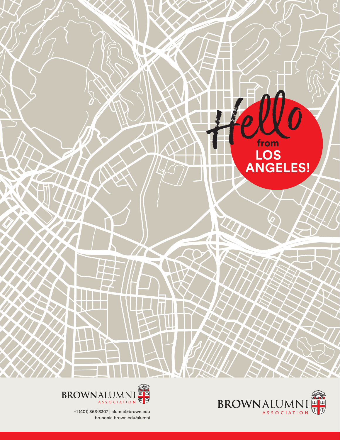





+1 (401) 863-3307 | alumni@brown.edu brunonia.brown.edu/alumni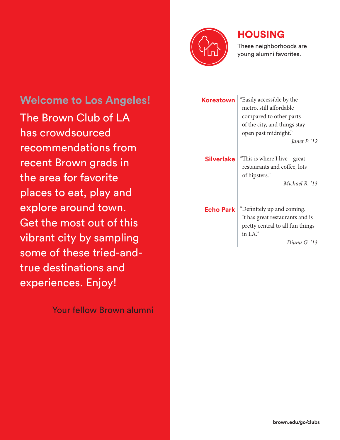

## HOUSING

These neighborhoods are young alumni favorites.

**Welcome to Los Angeles!** The Brown Club of LA has crowdsourced recommendations from recent Brown grads in the area for favorite places to eat, play and explore around town. Get the most out of this vibrant city by sampling some of these tried-andtrue destinations and experiences. Enjoy!

Your fellow Brown alumni

| Koreatown  | "Easily accessible by the<br>metro, still affordable<br>compared to other parts<br>of the city, and things stay<br>open past midnight."<br><i>Lanet P.</i> $12$ |
|------------|-----------------------------------------------------------------------------------------------------------------------------------------------------------------|
| Silverlake | "This is where I live—great<br>restaurants and coffee, lots<br>of hipsters."<br>Michael R. '13                                                                  |
| Echo Park  | "Definitely up and coming.<br>It has great restaurants and is<br>pretty central to all fun things<br>in $LA$ ."<br>Diana G. '13                                 |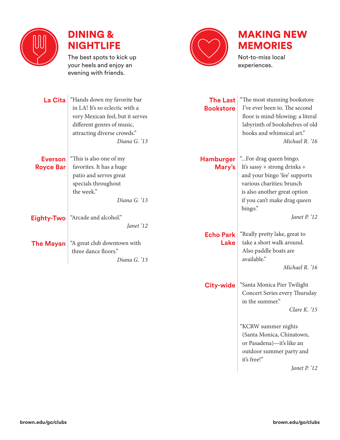



The best spots to kick up your heels and enjoy an evening with friends.



# MAKING NEW MEMORIES

Not-to-miss local experiences.

| <b>La Cita</b>                     | "Hands down my favorite bar<br>in LA! It's so eclectic with a<br>very Mexican feel, but it serves<br>different genres of music,<br>attracting diverse crowds."<br>Diana G. '13 | <b>The Last</b><br><b>Bookstore</b> | "The most stunning bookstore<br>I've ever been to. The second<br>floor is mind-blowing: a literal<br>labyrinth of bookshelves of old<br>books and whimsical art."<br>Michael R. '16             |
|------------------------------------|--------------------------------------------------------------------------------------------------------------------------------------------------------------------------------|-------------------------------------|-------------------------------------------------------------------------------------------------------------------------------------------------------------------------------------------------|
| <b>Everson</b><br><b>Royce Bar</b> | "This is also one of my<br>favorites. It has a huge<br>patio and serves great<br>specials throughout<br>the week."<br>Diana G. '13                                             | <b>Hamburger</b><br>Mary's          | "For drag queen bingo.<br>It's sassy + strong drinks +<br>and your bingo 'fee' supports<br>various charities; brunch<br>is also another great option<br>if you can't make drag queen<br>bingo." |
| Eighty-Two                         | "Arcade and alcohol."<br>Janet '12                                                                                                                                             |                                     | Janet P. '12                                                                                                                                                                                    |
| <b>The Mayan</b>                   | "A great club downtown with<br>three dance floors."<br>Diana G. '13                                                                                                            | <b>Echo Park</b><br>Lake            | "Really pretty lake, great to<br>take a short walk around.<br>Also paddle boats are<br>available."<br>Michael R. '16                                                                            |
|                                    |                                                                                                                                                                                | <b>City-wide</b>                    | "Santa Monica Pier Twilight<br>Concert Series every Thursday<br>in the summer."<br>Clare K. $'15$                                                                                               |
|                                    |                                                                                                                                                                                |                                     | "KCRW summer nights<br>(Santa Monica, Chinatown,<br>or Pasadena)-it's like an<br>outdoor summer party and<br>it's free!"<br>Janet P. '12                                                        |

*Janet P. '12*